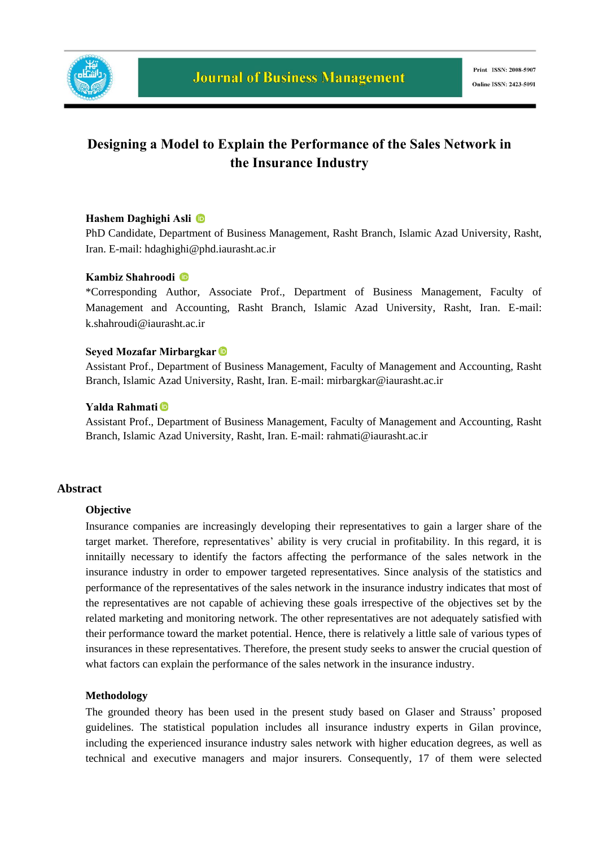

## **Designing a Model to Explain the Performance of the Sales Network in the Insurance Industry**

## **Hashem Daghighi Asli**

PhD Candidate, Department of Business Management, Rasht Branch, Islamic Azad University, Rasht, Iran. E-mail: hdaghighi@phd.iaurasht.ac.ir

### **Kambiz Shahroodi**

\*Corresponding Author*,* Associate Prof., Department of Business Management, Faculty of Management and Accounting, Rasht Branch, Islamic Azad University, Rasht, Iran. E-mail: k.shahroudi@iaurasht.ac.ir

### **Seyed Mozafar Mirbargkar**

Assistant Prof., Department of Business Management, Faculty of Management and Accounting, Rasht Branch, Islamic Azad University, Rasht, Iran. E-mail: mirbargkar@iaurasht.ac.ir

### **Yalda Rahmati**

Assistant Prof., Department of Business Management, Faculty of Management and Accounting, Rasht Branch, Islamic Azad University, Rasht, Iran. E-mail: rahmati@iaurasht.ac.ir

### **Abstract**

#### **Objective**

Insurance companies are increasingly developing their representatives to gain a larger share of the target market. Therefore, representatives' ability is very crucial in profitability. In this regard, it is innitailly necessary to identify the factors affecting the performance of the sales network in the insurance industry in order to empower targeted representatives. Since analysis of the statistics and performance of the representatives of the sales network in the insurance industry indicates that most of the representatives are not capable of achieving these goals irrespective of the objectives set by the related marketing and monitoring network. The other representatives are not adequately satisfied with their performance toward the market potential. Hence, there is relatively a little sale of various types of insurances in these representatives. Therefore, the present study seeks to answer the crucial question of what factors can explain the performance of the sales network in the insurance industry.

#### **Methodology**

The grounded theory has been used in the present study based on Glaser and Strauss' proposed guidelines. The statistical population includes all insurance industry experts in Gilan province, including the experienced insurance industry sales network with higher education degrees, as well as technical and executive managers and major insurers. Consequently, 17 of them were selected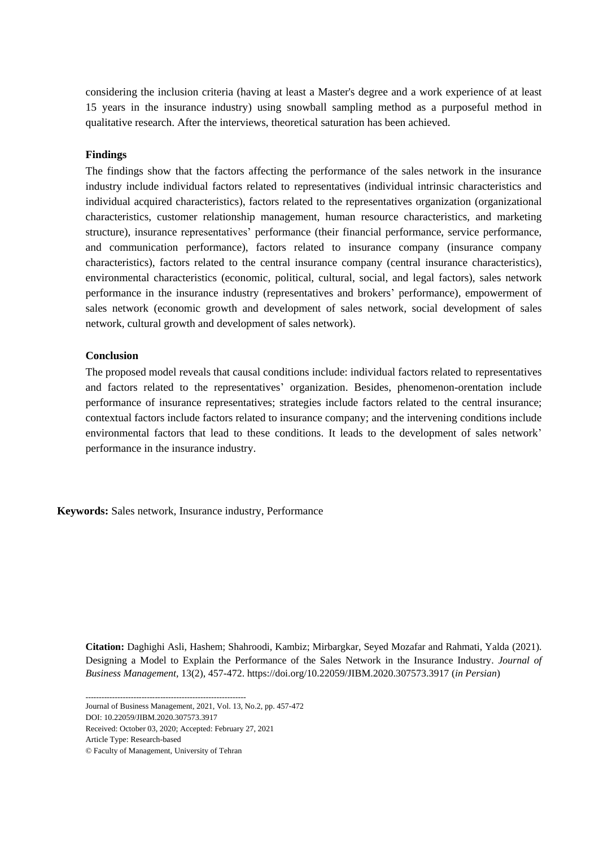considering the inclusion criteria (having at least a Master's degree and a work experience of at least 15 years in the insurance industry) using snowball sampling method as a purposeful method in qualitative research. After the interviews, theoretical saturation has been achieved.

#### **Findings**

The findings show that the factors affecting the performance of the sales network in the insurance industry include individual factors related to representatives (individual intrinsic characteristics and individual acquired characteristics), factors related to the representatives organization (organizational characteristics, customer relationship management, human resource characteristics, and marketing structure), insurance representatives' performance (their financial performance, service performance, and communication performance), factors related to insurance company (insurance company characteristics), factors related to the central insurance company (central insurance characteristics), environmental characteristics (economic, political, cultural, social, and legal factors), sales network performance in the insurance industry (representatives and brokers' performance), empowerment of sales network (economic growth and development of sales network, social development of sales network, cultural growth and development of sales network).

#### **Conclusion**

The proposed model reveals that causal conditions include: individual factors related to representatives and factors related to the representatives' organization. Besides, phenomenon-orentation include performance of insurance representatives; strategies include factors related to the central insurance; contextual factors include factors related to insurance company; and the intervening conditions include environmental factors that lead to these conditions. It leads to the development of sales network' performance in the insurance industry.

**Keywords:** Sales network, Insurance industry, Performance

**Citation:** Daghighi Asli, Hashem; Shahroodi, Kambiz; Mirbargkar, Seyed Mozafar and Rahmati, Yalda (2021). Designing a Model to Explain the Performance of the Sales Network in the Insurance Industry. *Journal of Business Management,* 13(2), 457-472. https://doi.org/10.22059/JIBM.2020.307573.3917 (*in Persian*)

------------------------------------------------------------ Journal of Business Management, 2021, Vol. 13, No.2, pp. 457-472

DOI: 10.22059/JIBM.2020.307573.3917

Received: October 03, 2020; Accepted: February 27, 2021

Article Type: Research-based

<sup>©</sup> Faculty of Management, University of Tehran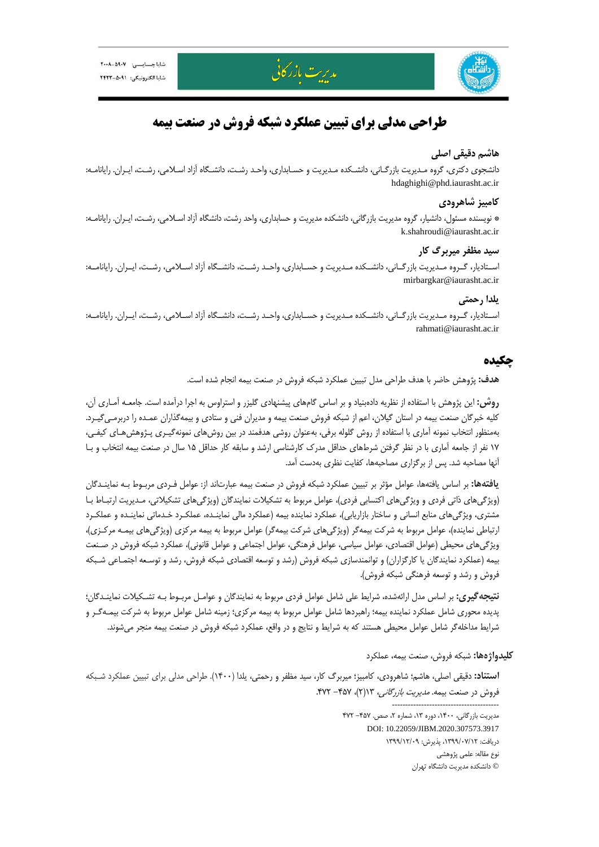

# **طراحي مدلي براي تبيين عملكرد شبكه فروش در صنعت بيمه**

مدريت بازر كانى

## **هاشم دقيقي اصلي**

دانشجوي دكتري، گروه مـديريت بازرگـاني، دانشـكده مـديريت و حسـابداري، واحـد رشـت، دانشـگاه آزاد اسـلامي، رشـت، ايـران. رايانامـه: hdaghighi@phd.iaurasht.ac.ir

## **كامبيز شاهرودي**

\* نويسنده مسئول، دانشيار، گروه مديريت بازرگاني، دانشكده مديريت و حسابداري، واحد رشت، دانشگاه آزاد اسـلامي، رشـت، ايـران. رايانامـه: k.shahroudi@iaurasht.ac.ir

## **سيد مظفر ميربرگ كار**

اســتاديار، گــروه مــديريت بازرگــاني، دانشــكده مــديريت و حســابداري، واحــد رشــت، دانشــگاه آزاد اســلامي، رشــت، ايــران. رايانامــه: mirbargkar@iaurasht.ac.ir

## **يلدا رحمتي**

اســتاديار، گــروه مــديريت بازرگــاني، دانشــكده مــديريت و حســابداري، واحــد رشــت، دانشــگاه آزاد اســلامي، رشــت، ايــران. رايانامــه: rahmati@iaurasht.ac.ir

## **چكيده**

**هدف:** پژوهش حاضر با هدف طراحي مدل تبيين عملكرد شبكه فروش در صنعت بيمه انجام شده است.

**روش:** اين پژوهش با استفاده از نظريه دادهبنياد و بر اساس گامهاي پيشنهادي گليزر و استراوس به اجرا درآمده است. جامعـه آمـاري آن، كليه خبرگان صنعت بيمه در استان گيلان، اعم از شبكه فروش صنعت بيمه و مديران فني و ستادي و بيمهگذاران عمـده را دربرمـيگيـرد. بهمنظور انتخاب نمونه آماري با استفاده از روش گلوله برفي، بهعنوان روشي هدفمند در بين روشهاي نمونهگيـري پـژوهشهـاي كيفـي، 17 نفر از جامعه آماري با در نظر گرفتن شرطهاي حداقل مدرك كارشناسي ارشد و سابقه كار حداقل 15 سال در صنعت بيمه انتخاب و بـا آنها مصاحبه شد. پس از برگزاري مصاحبهها، كفايت نظري بهدست آمد.

**يافتهها:** بر اساس يافتهها، عوامل مؤثر بر تبيين عملكرد شبكه فروش در صنعت بيمه عبارتاند از: عوامل فـردي مربـوط بـه نماينـدگان (ويژگيهاي ذاتي فردي و ويژگيهاي اكتسابي فردي)، عوامل مربوط به تشكيلات نمايندگان (ويژگيهاي تشكيلاتي، مـديريت ارتبـاط بـا مشتري، ويژگيهاي منابع انساني و ساختار بازاريابي)، عملكرد نماينده بيمه (عملكرد مالي نماينـده، عملكـرد خـدماتي نماينـده و عملكـرد ارتباطي نماينده)، عوامل مربوط به شركت بيمهگر (ويژگيهاي شركت بيمهگر) عوامل مربوط به بيمه مركزي (ويژگيهاي بيمـه مركـزي)، ويژگيهاي محيطي (عوامل اقتصادي، عوامل سياسي، عوامل فرهنگي، عوامل اجتماعي و عوامل قانوني)، عملكرد شبكه فروش در صـنعت بيمه (عملكرد نمايندگان يا كارگزاران) و توانمندسازي شبكه فروش (رشد و توسعه اقتصادي شبكه فروش، رشد و توسـعه اجتمـاعي شـبكه فروش و رشد و توسعه فرهنگي شبكه فروش).

**نتيجهگيري:** بر اساس مدل ارائهشده، شرايط علي شامل عوامل فردي مربوط به نمايندگان و عوامـل مربـوط بـه تشـكيلات نماينـدگان؛ پديده محوري شامل عملكرد نماينده بيمه؛ راهبردها شامل عوامل مربوط به بيمه مركزي؛ زمينه شامل عوامل مربوط به شركت بيمـهگـر و شرايط مداخلهگر شامل عوامل محيطي هستند كه به شرايط و نتايج و در واقع، عملكرد شبكه فروش در صنعت بيمه منجر ميشوند.

### **كليدواژهها:** شبكه فروش، صنعت بيمه، عملكرد

----------------------------------------

**استناد:** دقيقي اصلي، هاشم؛ شاهرودي، كامبيز؛ ميربرگ كار، سيد مظفر و رحمتي، يلدا (1400). طراحي مدلي براي تبيين عملكرد شـبكه فروش در صنعت بيمه. مديريت بازرگاني، 13(2)، -457 .472

> مديريت بازرگاني، ١۴٠٠، دوره ١٣، شماره ٢، صص. ۴۵۷- ۴۷۲ DOI: 10.22059/JIBM.2020.307573.3917 دريافت: ،1399/07/12 پذيرش: 1399/12/09 نوع مقاله: علمي پژوهشي © دانشكده مديريت دانشگاه تهران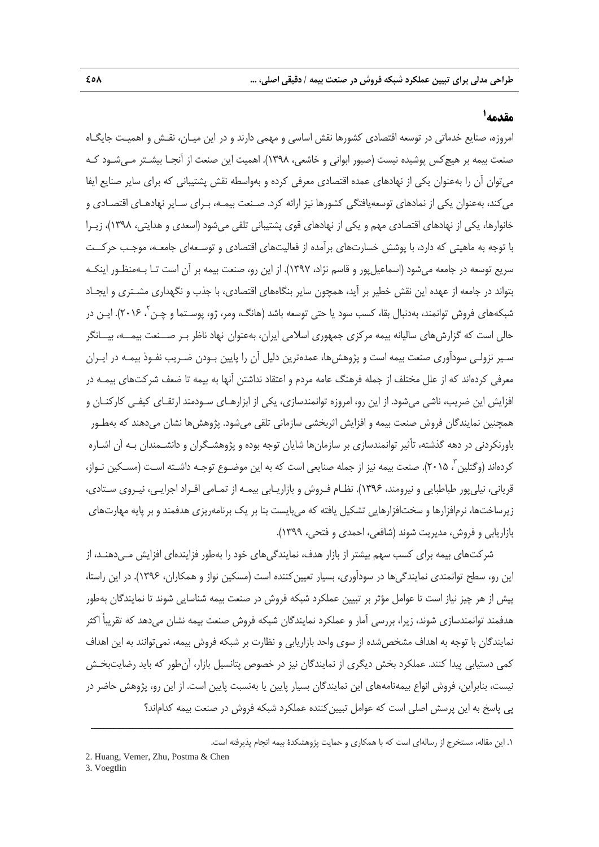## **<sup>1</sup> مقدمه**

امروزه، صنايع خدماتي در توسعه اقتصادي كشورها نقش اساسي و مهمي دارند و در اين ميـان، نقـش و اهميـت جايگـاه صنعت بيمه بر هيچكس پوشيده نيست (صبور ابواني و خاشعي، 1398). اهميت اين صنعت از آنجـا بيشـتر مـيشـود كـه ميتوان آن را بهعنوان يكي از نهادهاي عمده اقتصادي معرفي كرده و بهواسطه نقش پشتيباني كه براي ساير صنايع ايفا ميكند، بهعنوان يكي از نمادهاي توسعهيافتگي كشورها نيز ارائه كرد. صـنعت بيمـه، بـراي سـاير نهادهـاي اقتصـادي و خانوارها، يكي از نهادهاي اقتصادي مهم و يكي از نهادهاي قوي پشتيباني تلقي ميشود (اسعدي و هدايتي، 1398)، زيـرا با توجه به ماهيتي كه دارد، با پوشش خسارتهاي برآمده از فعاليتهاي اقتصادي و توسـعهاي جامعـه، موجـب حركــت سريع توسعه در جامعه ميشود (اسماعيلپور و قاسم نژاد، 1397). از اين رو، صنعت بيمه بر آن است تـا بـهمنظـور اينكـه بتواند در جامعه از عهده اين نقش خطير بر آيد، همچون ساير بنگاههاي اقتصادي، با جذب و نگهداري مشـتري و ايجـاد شبكههای فروش توانمند، بهدنبال بقا، كسب سود يا حتی توسعه باشد (هانگ، ومر، ژو، پوسـتما و چـن<sup>۲</sup>، ۲۰۱۶). ايـن در حالي است كه گزارشهاي ساليانه بيمه مركزي جمهوري اسلامي ايران، بهعنوان نهاد ناظر بـر صــنعت بيمــه، بيــانگر سـير نزولـي سودآوري صنعت بيمه است و پژوهشها، عمدهترين دليل آن را پايين بـودن ضـريب نفـوذ بيمـه در ايـران معرفي كردهاند كه از علل مختلف از جمله فرهنگ عامه مردم و اعتقاد نداشتن آنها به بيمه تا ضعف شركتهاي بيمـه در افزايش اين ضريب، ناشي ميشود. از اين رو، امروزه توانمندسازي، يكي از ابزارهـاي سـودمند ارتقـاي كيفـي كاركنـان و همچنين نمايندگان فروش صنعت بيمه و افزايش اثربخشي سازماني تلقي ميشود. پژوهشها نشان ميدهند كه بهطـور باورنكردني در دهه گذشته، تأثير توانمندسازي بر سازمانها شايان توجه بوده و پژوهشـگران و دانشـمندان بـه آن اشـاره كردهاند (وگتلين ً، ٢٠١۵). صنعت بيمه نيز از جمله صنايعي است كه به اين موضـوع توجـه داشـته اسـت (مسـكين نـواز، قرياني، نيليپور طباطبايي و نيرومند، 1396). نظـام فـروش و بازاريـابي بيمـه از تمـامي افـراد اجرايـي، نيـروي سـتادي، زيرساختها، نرمافزارها و سختافزارهايي تشكيل يافته كه ميبايست بنا بر يك برنامهريزي هدفمند و بر پايه مهارتهاي بازاريابي و فروش، مديريت شوند (شافعي، احمدي و فتحي، 1399).

شركتهاي بيمه براي كسب سهم بيشتر از بازار هدف، نمايندگيهاي خود را بهطور فزايندهاي افزايش مـيدهنـد، از اين رو، سطح توانمندي نمايندگي ها در سودآوري، بسيار تعيين كننده است (مسكين نواز و همكاران، 1۳۹۶). در اين راستا، پيش از هر چيز نياز است تا عوامل مؤثر بر تبيين عملكرد شبكه فروش در صنعت بيمه شناسايي شوند تا نمايندگان بهطور هدفمند توانمندسازي شوند، زيرا، بررسي آمار و عملكرد نمايندگان شبكه فروش صنعت بيمه نشان ميدهد كه تقريباً اكثر نمايندگان با توجه به اهداف مشخصشده از سوي واحد بازاريابي و نظارت بر شبكه فروش بيمه، نميتوانند به اين اهداف كمي دستيابي پيدا كنند. عملكرد بخش ديگري از نمايندگان نيز در خصوص پتانسيل بازار، آنطور كه بايد رضايتبخـش نيست، بنابراين، فروش انواع بيمهنامههاي اين نمايندگان بسيار پايين يا بهنسبت پايين است. از اين رو، پژوهش حاضر در پي پاسخ به اين پرسش اصلي است كه عوامل تبيين كننده عملكرد شبكه فروش در صنعت بيمه كداماند؟

ــــــــــــــــــــــــــــــــــــــــــــــــــــــــــــــــــــــــــــــــــــــــــــــــــــــــــــــــــــــــــــــــــــ

<sup>.1</sup> اين مقاله، مستخرج از رسالهاي است كه با همكاري و حمايت پژوهشكدة بيمه انجام پذيرفته است.

<sup>2.</sup> Huang, Vemer, Zhu, Postma & Chen

<sup>3.</sup> Voegtlin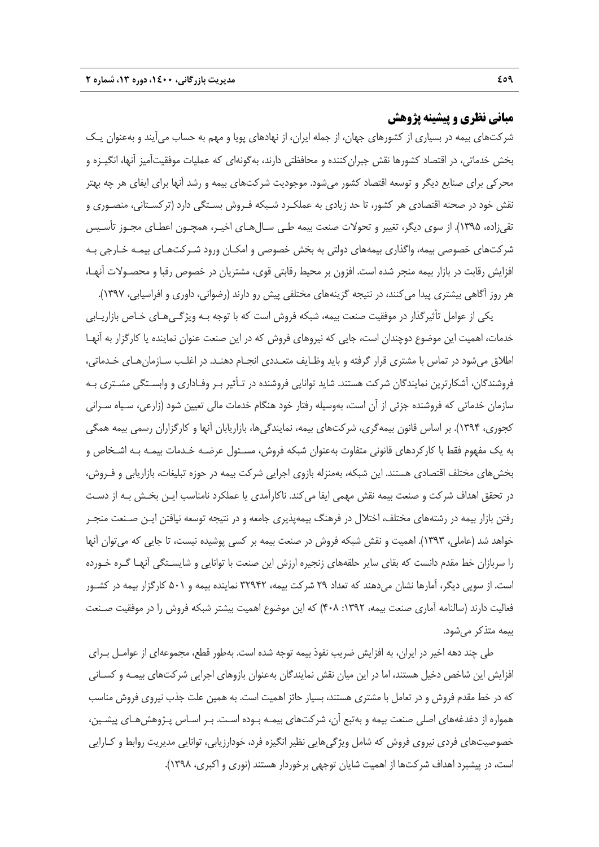## **مباني نظري و پيشينه پژوهش**

شركتهاي بيمه در بسياري از كشورهاي جهان، از جمله ايران، از نهادهاي پويا و مهم به حساب ميآيند و بهعنوان يـك بخش خدماتي، در اقتصاد كشورها نقش جبرانكننده و محافظتي دارند، بهگونهاي كه عمليات موفقيتآميز آنها، انگيـزه و محركي براي صنايع ديگر و توسعه اقتصاد كشور ميشود. موجوديت شركتهاي بيمه و رشد آنها براي ايفاي هر چه بهتر نقش خود در صحنه اقتصادي هر كشور، تا حد زيادي به عملكـرد شـبكه فـروش بسـتگي دارد (تركسـتاني، منصـوري و تقيزاده، 1395). از سوي ديگر، تغيير و تحولات صنعت بيمه طـي سـالهـاي اخيـر، همچـون اعطـاي مجـوز تأسـيس شركتهاي خصوصي بيمه، واگذاري بيمههاي دولتي به بخش خصوصي و امكـان ورود شـركتهـاي بيمـه خـارجي بـه افزايش رقابت در بازار بيمه منجر شده است. افزون بر محيط رقابتي قوي، مشتريان در خصوص رقبا و محصـولات آنهـا، هر روز آگاهي بيشتري پيدا ميكنند، در نتيجه گزينههاي مختلفي پيش رو دارند (رضواني، داوري و افراسيابي، 1397).

يكي از عوامل تأثيرگذار در موفقيت صنعت بيمه، شبكه فروش است كه با توجه بـه ويژگـيهـاي خـاص بازاريـابي خدمات، اهميت اين موضوع دوچندان است، جايي كه نيروهاي فروش كه در اين صنعت عنوان نماينده يا كارگزار به آنهـا اطلاق ميشود در تماس با مشتري قرار گرفته و بايد وظـايف متعـددي انجـام دهنـد. در اغلـب سـازمانهـاي خـدماتي، فروشندگان، آشكارترين نمايندگان شركت هستند. شايد توانايي فروشنده در تـأثير بـر وفـاداري و وابسـتگي مشـتري بـه سازمان خدماتي كه فروشنده جزئي از آن است، بهوسيله رفتار خود هنگام خدمات مالي تعيين شود (زارعي، سـياه سـراني كجوري، 1394). بر اساس قانون بيمهگري، شركتهاي بيمه، نمايندگيها، بازاريابان آنها و كارگزاران رسمي بيمه همگي به يك مفهوم فقط با كاركردهاي قانوني متفاوت بهعنوان شبكه فروش، مسـئول عرضـه خـدمات بيمـه بـه اشـخاص و بخشهاي مختلف اقتصادي هستند. اين شبكه، بهمنزله بازوي اجرايي شركت بيمه در حوزه تبليغات، بازاريابي و فـروش، در تحقق اهداف شركت و صنعت بيمه نقش مهمي ايفا ميكند. ناكارآمدي يا عملكرد نامناسب ايـن بخـش بـه از دسـت رفتن بازار بيمه در رشتههاي مختلف، اختلال در فرهنگ بيمهپذيري جامعه و در نتيجه توسعه نيافتن ايـن صـنعت منجـر خواهد شد (عاملي، 1393). اهميت و نقش شبكه فروش در صنعت بيمه بر كسي پوشيده نيست، تا جايي كه ميتوان آنها را سربازان خط مقدم دانست كه بقاي ساير حلقههاي زنجيره ارزش اين صنعت با توانايي و شايسـتگي آنهـا گـره خـورده است. از سويي ديگر، آمارها نشان ميدهند كه تعداد 29 شركت بيمه، 32942 نماينده بيمه و 501 كارگزار بيمه در كشـور فعاليت دارند (سالنامه آماري صنعت بيمه، :1392 408) كه اين موضوع اهميت بيشتر شبكه فروش را در موفقيت صـنعت بيمه متذكر ميشود.

طي چند دهه اخير در ايران، به افزايش ضريب نفوذ بيمه توجه شده است. بهطور قطع، مجموعهاي از عوامـل بـراي افزايش اين شاخص دخيل هستند، اما در اين ميان نقش نمايندگان بهعنوان بازوهاي اجرايي شركتهاي بيمـه و كسـاني كه در خط مقدم فروش و در تعامل با مشتري هستند، بسيار حائز اهميت است. به همين علت جذب نيروي فروش مناسب همواره از دغدغههاي اصلي صنعت بيمه و بهتبع آن، شركتهاي بيمـه بـوده اسـت. بـر اسـاس پـژوهشهـاي پيشـين، خصوصيتهاي فردي نيروي فروش كه شامل ويژگيهايي نظير انگيزه فرد، خودارزيابي، توانايي مديريت روابط و كـارايي است، در پيشبرد اهداف شركتها از اهميت شايان توجهي برخوردار هستند (نوري و اكبري، 1398).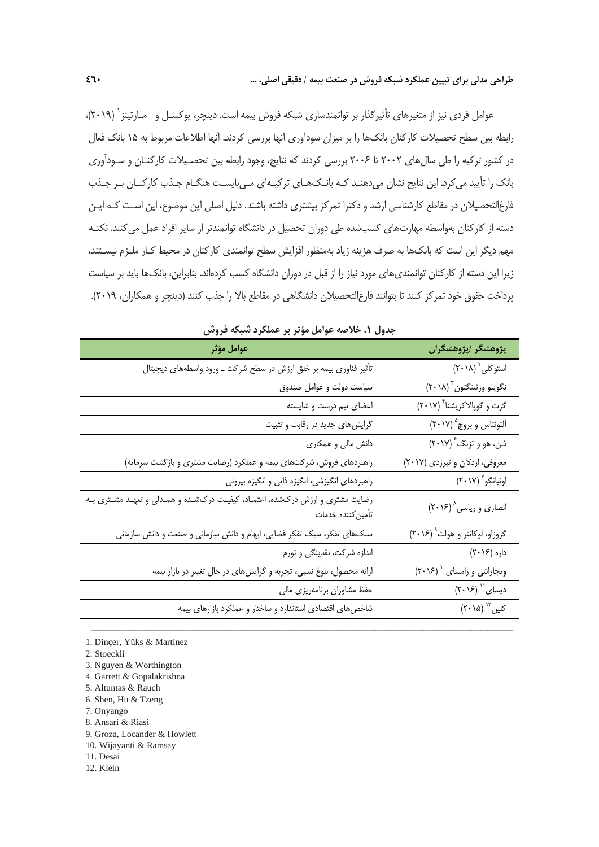عوامل فردي نيز از متغيرهاي تأثيرگذار بر توانمندسازي شبكه فروش بيمه است. دينچر، يوكسـل و مـارتينز ` (٢٠١٩)، رابطه بين سطح تحصيلات كاركنان بانكها را بر ميزان سودآوري آنها بررسي كردند. آنها اطلاعات مربوط به 15 بانك فعال در كشور تركيه را طي سالهاي 2002 تا 2006 بررسي كردند كه نتايج، وجود رابطه بين تحصـيلات كاركنـان و سـودآوري بانك را تأييد ميكرد. اين نتايج نشان ميدهنـد كـه بانـكهـاي تركيـهاي مـيبايسـت هنگـام جـذب كاركنـان بـر جـذب فارغالتحصيلان در مقاطع كارشناسي ارشد و دكترا تمركز بيشتري داشته باشند. دليل اصلي اين موضوع، اين اسـت كـه ايـن دسته از كاركنان بهواسطه مهارتهاي كسبشده طي دوران تحصيل در دانشگاه توانمندتر از ساير افراد عمل ميكنند. نكتـه مهم ديگر اين است كه بانكها به صرف هزينه زياد بهمنظور افزايش سطح توانمندي كاركنان در محيط كـار ملـزم نيسـتند، زيرا اين دسته از كاركنان توانمنديهاي مورد نياز را از قبل در دوران دانشگاه كسب كردهاند. بنابراين، بانكها بايد بر سياست پرداخت حقوق خود تمركز كنند تا بتوانند فارغالتحصيلان دانشگاهي در مقاطع بالا را جذب كنند (دينچر و همكاران، 2019).

| جدوں حارضه خواہن موثر پر حملترد سببت ترونیں                                                         |                                     |  |  |  |
|-----------------------------------------------------------------------------------------------------|-------------------------------------|--|--|--|
| عوامل مؤثر                                                                                          | پژوهشگر /پژوهشگران                  |  |  |  |
| تأثیر فناوری بیمه بر خلق ارزش در سطح شرکت ــ ورود واسطههای دیجیتال                                  | استوكلى ٢٠١٨)                       |  |  |  |
| سیاست دولت و عوامل صندوق                                                                            | نگوينو ورثينگتون (٢٠١٨)             |  |  |  |
| اعضای تیم درست و شایسته                                                                             | گرت و گوپالاکریشنا ٔ (۲۰۱۷)         |  |  |  |
| گرایشهای جدید در رقابت و تثبیت                                                                      | آلتونتاس و بروچ ۲۰۱۷)               |  |  |  |
| دانش مالی و همکاری                                                                                  | شن، هو و تزنگ <sup>ء</sup> ُ (٢٠١٧) |  |  |  |
| راهبردهای فروش، شرکتهای بیمه و عملکرد (رضایت مشتری و بازگشت سرمایه)                                 | معروفي، اردلان وتبرزدي (٢٠١٧)       |  |  |  |
| راهبردهای انگیزشی، انگیزه ذاتی و انگیزه بیرونی                                                      | اونيانگو ٢٠١٧)                      |  |  |  |
| رضایت مشتری و ارزش درکشده، اعتمـاد، کیفیـت درکشـده و همـدلی و تعهـد مشـتری بـه<br>تأمين كننده خدمات | انصاری و ریاسی^ (۲۰۱۶)              |  |  |  |
| سبکهای تفکر، سبک تفکر قضایی، ابهام و دانش سازمانی و صنعت و دانش سازمانی                             | گروزاو، لوکانتر و هولت ٢٠١۶)        |  |  |  |
| اندازه شرکت، نقدینگی و تورم                                                                         | داره (۲۰۱۶)                         |  |  |  |
| ارائه محصول، بلوغ نسبی، تجربه و گرایشهای در حال تغییر در بازار بیمه                                 | ویجارانتی و رامسای `` (۲۰۱۶)        |  |  |  |
| حفظ مشاوران برنامهريزي مالي                                                                         | دیسای" (۲۰۱۶)                       |  |  |  |
| شاخصهای اقتصادی استاندارد و ساختار و عملکرد بازارهای بیمه                                           | کلین " (۲۰۱۵)                       |  |  |  |

ــــــــــــــــــــــــــــــــــــــــــــــــــــــــــــــــــــــــــــــــــــــــــــــــــــــــــــــــــــــــــــــــــــ

**جدول .1 خلاصه عوامل مؤثر بر عملكرد شبكه فروش** 

1. Dinçer, Yüks & Martinez

- 2. Stoeckli
- 3. Nguyen & Worthington
- 4. Garrett & Gopalakrishna
- 5. Altuntas & Rauch
- 6. Shen, Hu & Tzeng
- 7. Onyango
- 8. Ansari & Riasi
- 9. Groza, Locander & Howlett
- 10. Wijayanti & Ramsay
- 11. Desai
- 12. Klein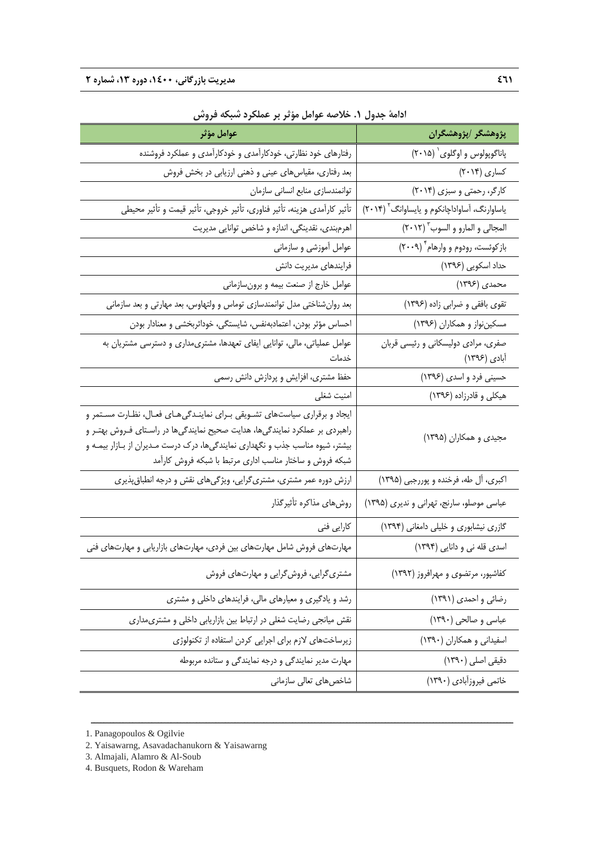| عوامل مؤثر                                                                     | پژوهشگر ⁄پژوهشگران                                       |  |
|--------------------------------------------------------------------------------|----------------------------------------------------------|--|
| رفتارهای خود نظارتی، خودکارآمدی و خودکارآمدی و عملکرد فروشنده                  | پاناگوپولوس و اوگلوی` (۲۰۱۵)                             |  |
| بعد رفتاری، مقیاسهای عینی و ذهنی ارزیابی در بخش فروش                           | کساری (۲۰۱۴)                                             |  |
| توانمندسازي منابع انساني سازمان                                                | کارگر، رحمتی و سبزی (۲۰۱۴)                               |  |
| تأثير كارآمدي هزينه، تأثير فناوري، تأثير خروجي، تأثير قيمت و تأثير محيطي       | یاساوارنگ، آساواداچانکوم و یایساوانگ <sup>۲</sup> (۲۰۱۴) |  |
| اهرمبندي، نقدينگي، اندازه و شاخص توانايي مديريت                                | المجالي و المارو و السوب " (٢٠١٢)                        |  |
| عوامل أموزشي و سازماني                                                         | بازکوئست، رودوم و وارهام ۲۰۰۹)                           |  |
| فرایندهای مدیریت دانش                                                          | حداد اسکویی (۱۳۹۶)                                       |  |
| عوامل خارج از صنعت بیمه و برونسازمانی                                          | محمدی (۱۳۹۶)                                             |  |
| بعد روانشناختی مدل توانمندسازی توماس و ولتهاوس، بعد مهارتی و بعد سازمانی       | تقوی بافقی و ضرابی زاده (۱۳۹۶)                           |  |
| احساس مؤثر بودن، اعتمادبهنفس، شایستگی، خوداثربخشی و معنادار بودن               | مسکیننواز و همکاران (۱۳۹۶)                               |  |
| عوامل عملیاتی، مالی، توانایی ایفای تعهدها، مشتریمداری و دسترسی مشتریان به      | صفری، مرادی دولیسکانی و رئیسی قربان                      |  |
| خدمات                                                                          | أبادي (۱۳۹۶)                                             |  |
| حفظ مشتری، افزایش و پردازش دانش رسمی                                           | حسینی فرد و اسدی (۱۳۹۶)                                  |  |
| امنيت شغلى                                                                     | هیکلی و قادرزاده (۱۳۹۶)                                  |  |
| ایجاد و برقراری سیاستهای تشـویقی بـرای نماینـدگیهـای فعـال، نظـارت مسـتمر و    |                                                          |  |
| راهبردی بر عملکرد نمایندگیها، هدایت صحیح نمایندگیها در راسـتای فـروش بهتـر و   | مجیدی و همکاران (۱۳۹۵)                                   |  |
| بیشتر، شیوه مناسب جذب و نگهداری نمایندگیها، درک درست مـدیران از بـازار بیمـه و |                                                          |  |
| شبکه فروش و ساختار مناسب اداری مرتبط با شبکه فروش کارآمد                       |                                                          |  |
| ارزش دوره عمر مشتری، مشتری گرایی، ویژگیهای نقش و درجه انطباق پذیری             | اکبری، آل طه، فرخنده و پوررجبی (۱۳۹۵)                    |  |
| روشهاى مذاكره تأثيركذار                                                        | عباسی موصلو، سارنج، تهرانی و ندیری (۱۳۹۵)                |  |
| كارايي فني                                                                     | گازری نیشابوری و خلیلی دامغانی (۱۳۹۴)                    |  |
| مهارتهای فروش شامل مهارتهای بین فردی، مهارتهای بازاریابی و مهارتهای فنی        | اسدی قله نی و دانایی (۱۳۹۴)                              |  |
| مشتری گرایی، فروش گرایی و مهارتهای فروش                                        | کفاشپور، مرتضوی و مهرافروز (١٣٩٢)                        |  |
| رشد و یادگیری و معیارهای مالی، فرایندهای داخلی و مشتری                         | رضائی و احمدی (۱۳۹۱)                                     |  |
| نقش میانجی رضایت شغلی در ارتباط بین بازاریابی داخلی و مشتری مداری              | عباسی و صالحی (١٣٩٠)                                     |  |
| زیرساختهای لازم برای اجرایی کردن استفاده از تکنولوژی                           | اسفیدانی و همکاران (١٣٩٠)                                |  |
| مهارت مدیر نمایندگی و درجه نمایندگی و ستانده مربوطه                            | دقیقی اصلی (۱۳۹۰)                                        |  |
| شاخصهای تعالی سازمانی                                                          | خاتمي فيروزآبادي (١٣٩٠)                                  |  |

ــــــــــــــــــــــــــــــــــــــــــــــــــــــــــــــــــــــــــــــــــــــــــــــــــــــــــــــــــــــــــــــــــــ

**ادامة جدول .1 خلاصه عوامل مؤثر بر عملكرد شبكه فروش** 

1. Panagopoulos & Ogilvie

- 2. Yaisawarng, Asavadachanukorn & Yaisawarng
- 3. Almajali, Alamro & Al-Soub

4. Busquets, Rodon & Wareham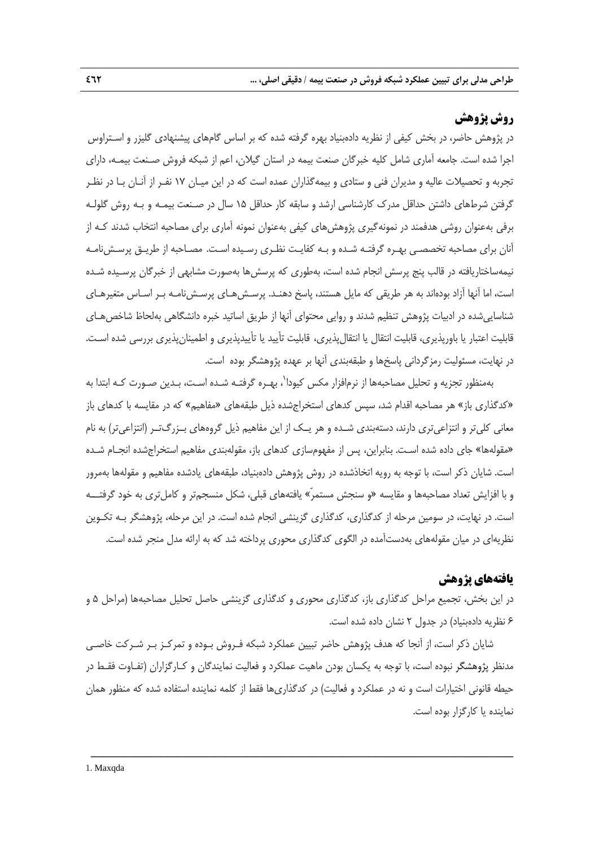## **روش پژوهش**

در پژوهش حاضر، در بخش كيفي از نظريه دادهبنياد بهره گرفته شده كه بر اساس گامهاي پيشنهادي گليزر و اسـتراوس اجرا شده است. جامعه آماري شامل كليه خبرگان صنعت بيمه در استان گيلان، اعم از شبكه فروش صـنعت بيمـه، داراي تجربه و تحصيلات عاليه و مديران فني و ستادي و بيمهگذاران عمده است كه در اين ميـان 17 نفـر از آنـان بـا در نظـر گرفتن شرطهاي داشتن حداقل مدرك كارشناسي ارشد و سابقه كار حداقل 15 سال در صـنعت بيمـه و بـه روش گلولـه برفي بهعنوان روشي هدفمند در نمونهگيري پژوهشهاي كيفي بهعنوان نمونه آماري براي مصاحبه انتخاب شدند كـه از آنان براي مصاحبه تخصصـي بهـره گرفتـه شـده و بـه كفايـت نظـري رسـيده اسـت. مصـاحبه از طريـق پرسـشنامـه نيمهساختاريافته در قالب پنج پرسش انجام شده است، بهطوري كه پرسشها بهصورت مشابهي از خبرگان پرسـيده شـده است، اما آنها آزاد بودهاند به هر طريقي كه مايل هستند، پاسخ دهنـد. پرسـشهـاي پرسـشنامـه بـر اسـاس متغيرهـاي شناساييشده در ادبيات پژوهش تنظيم شدند و روايي محتواي آنها از طريق اساتيد خبره دانشگاهي بهلحاظ شاخصهـاي قابليت اعتبار يا باورپذيري، قابليت انتقال يا انتقالپذيري، قابليت تأييد يا تأييدپذيري و اطمينانپذيري بررسي شده اسـت. در نهايت، مسئوليت رمزگرداني پاسخها و طبقهبندي آنها بر عهده پژوهشگر بوده است.

بهمنظور تجزيه و تحليل مصاحبهها از نرمافزار مكس كيودا<sup>٬</sup>، بهـره گرفتـه شـده اسـت، بـدين صـورت كـه ابتدا به «كدگذاري باز» هر مصاحبه اقدام شد، سپس كدهاي استخراجشده ذيل طبقههاي «مفاهيم» كه در مقايسه با كدهاي باز معانى كلىتر و انتزاعىتري دارند، دستهبندي شـده و هر يـك از اين مفاهيم ذيل گروههاي بـزرگتـر (انتزاعىتر) به نام «مقولهها» جاي داده شده اسـت. بنابراين، پس از مفهومسازي كدهاي باز، مقولهبندي مفاهيم استخراجشده انجـام شـده است. شايان ذكر است، با توجه به رويه اتخاذشده در روش پژوهش دادهبنياد، طبقههاي يادشده مفاهيم و مقولهها بهمرور و با افزايش تعداد مصاحبهها و مقايسه «و سنجش مستمرّ» يافتههاي قبلى، شكل منسجمتر و كاملتري به خود گرفتـــه است. در نهايت، در سومين مرحله از كدگذاري، كدگذاري گزينشي انجام شده است. در اين مرحله، پژوهشگر بـه تكـوين نظريهاي در ميان مقولههاي بهدستآمده در الگوي كدگذاري محوري پرداخته شد كه به ارائه مدل منجر شده است.

## **يافتههاي پژوهش**

در اين بخش، تجميع مراحل كدگذاري باز، كدگذاري محوري و كدگذاري گزينشي حاصل تحليل مصاحبهها (مراحل 5 و 6 نظريه دادهبنياد) در جدول 2 نشان داده شده است.

شايان ذكر است، از آنجا كه هدف پژوهش حاضر تبيين عملكرد شبكه فـروش بـوده و تمركـز بـر شـركت خاصـي مدنظر پژوهشگر نبوده است، با توجه به يكسان بودن ماهيت عملكرد و فعاليت نمايندگان و كـارگزاران (تفـاوت فقـط در حيطه قانوني اختيارات است و نه در عملكرد و فعاليت) در كدگذاريها فقط از كلمه نماينده استفاده شده كه منظور همان نماينده يا كارگزار بوده است.

ــــــــــــــــــــــــــــــــــــــــــــــــــــــــــــــــــــــــــــــــــــــــــــــــــــــــــــــــــــــــــــــــــــ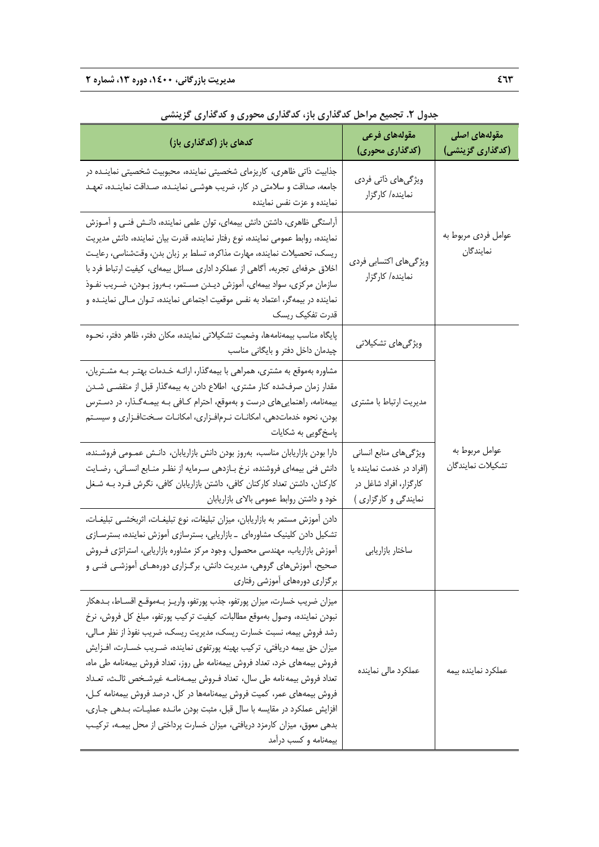| کدهای باز (کدگذاری باز)                                                                                                                                                                                                                                                                                                                                                                                                                                                                                                                                                                                                                                                                                                                    | مقولههای فرعی<br>(کدگذاری محوری)                                                                      | مقولەهای اصلی<br>(کدگذاری گزینشی)   |
|--------------------------------------------------------------------------------------------------------------------------------------------------------------------------------------------------------------------------------------------------------------------------------------------------------------------------------------------------------------------------------------------------------------------------------------------------------------------------------------------------------------------------------------------------------------------------------------------------------------------------------------------------------------------------------------------------------------------------------------------|-------------------------------------------------------------------------------------------------------|-------------------------------------|
| جذابیت ذاتی ظاهری، کاریزمای شخصیتی نماینده، محبوبیت شخصیتی نماینــده در<br>جامعه، صداقت و سلامتی در کار، ضریب هوشـی نماینـده، صـداقت نماینـده، تعهـد<br>نماینده و عزت نفس نماینده                                                                                                                                                                                                                                                                                                                                                                                                                                                                                                                                                          | ویژگیهای ذاتی فردی<br>نماینده/ کارگزار                                                                |                                     |
| آراستگی ظاهری، داشتن دانش بیمهای، توان علمی نماینده، دانـش فنـی و آمـوزش<br>نماينده، روابط عمومي نماينده، نوع رفتار نماينده، قدرت بيان نماينده، دانش مديريت<br>ریسک، تحصیلات نماینده، مهارت مذاکره، تسلط بر زبان بدن، وقتشناسی، رعایـت<br>اخلاق حرفهای تجربه، أگاهی از عملکرد اداری مسائل بیمهای، کیفیت ارتباط فرد با<br>سازمان مرکزی، سواد بیمهای، آموزش دیـدن مسـتمر، بـهروز بـودن، ضـریب نفـوذ<br>نماینده در بیمهگر، اعتماد به نفس موقعیت اجتماعی نماینده، تـوان مـالی نماینــده و<br>قدرت تفكيك ريسك                                                                                                                                                                                                                                   | ویژگیهای اکتسابی فردی<br>نماینده/ کارگزار                                                             | عوامل فردي مربوط به<br>نمايندگان    |
| پایگاه مناسب بیمهنامهها، وضعیت تشکیلاتی نماینده، مکان دفتر، ظاهر دفتر، نحـوه<br>چیدمان داخل دفتر و بایگانی مناسب                                                                                                                                                                                                                                                                                                                                                                                                                                                                                                                                                                                                                           | ویژگیهای تشکیلاتی                                                                                     |                                     |
| مشاوره بهموقع به مشتری، همراهی با بیمهگذار، ارائـه خـدمات بهتـر بـه مشـتریان،<br>مقدار زمان صرفشده کنار مشتری، اطلاع دادن به بیمهگذار قبل از منقضـی شـدن<br>بیمهنامه، راهنماییهای درست و بهموقع، احترام کـافی بـه بیمـهگـذار، در دسـترس<br>بودن، نحوه خدماتدهی، امکانـات نـرمافـزاری، امکانـات سـختافـزاری و سیسـتم<br>پاسخ گویی به شکایات                                                                                                                                                                                                                                                                                                                                                                                                 | مدیریت ارتباط با مشتری                                                                                |                                     |
| دارا بودن بازاریابان مناسب، بەروز بودن دانش بازاریابان، دانـش عمـومی فروشـنده،<br>دانش فنی بیمهای فروشنده، نرخ بـازدهی سـرمایه از نظـر منـابع انسـانی، رضـایت<br>کارکنان، داشتن تعداد کارکنان کافی، داشتن بازاریابان کافی، نگرش فـرد بــه شــغل<br>خود و داشتن روابط عمومی بالای بازاریابان                                                                                                                                                                                                                                                                                                                                                                                                                                                | ویژگیهای منابع انسانی<br>(افراد در خدمت نماینده یا<br>كارگزار، افراد شاغل در<br>نمایندگی و کارگزاری ) | عوامل مربوط به<br>تشكيلات نمايندگان |
| دادن آموزش مستمر به بازاریابان، میزان تبلیغات، نوع تبلیغـات، اثربخشـی تبلیغـات،<br>تشکیل دادن کلینیک مشاورهای _بازاریابی، بسترسازی آموزش نماینده، بسترسـازی<br>آموزش بازاریاب، مهندسی محصول، وجود مرکز مشاوره بازاریابی، استراتژی فـروش<br>صحیح، آموزشهای گروهی، مدیریت دانش، برگـزاری دورههـای آموزشـی فنـی و<br>برگزاری دورههای آموزشی رفتاری                                                                                                                                                                                                                                                                                                                                                                                            | ساختار بازاريابي                                                                                      |                                     |
| ميزان ضريب خسارت، ميزان پورتفو، جذب پورتفو، واريـز بـهموقـع اقســاط، بــدهكار<br>نبودن نماينده، وصول بەموقع مطالبات، كيفيت تركيب پورتفو، مبلغ كل فروش، نرخ<br>رشد فروش بیمه، نسبت خسارت ریسک، مدیریت ریسک، ضریب نفوذ از نظر مـالی،<br>میزان حق بیمه دریافتی، ترکیب بهینه پورتفوی نماینده، ضـریب خسـارت، افــزایش<br>فروش بیمههای خرد، تعداد فروش بیمهنامه طی روز، تعداد فروش بیمهنامه طی ماه،<br>تعداد فروش بيمه نامه طي سال، تعداد فـروش بيمــهنامــه غيرشـخص ثالــث، تعــداد<br>فروش بیمههای عمر، کمیت فروش بیمهنامهها در کل، درصد فروش بیمهنامه کـل،<br>افزایش عملکرد در مقایسه با سال قبل، مثبت بودن مانـده عملیـات، بـدهی جـاری،<br>بدهی معوق، میزان کارمزد دریافتی، میزان خسارت پرداختی از محل بیمـه، ترکیـب<br>بیمهنامه و کسب درآمد | عملكرد مالي نماينده                                                                                   | عملكرد نماينده بيمه                 |

**جدول .2 تجميع مراحل كدگذاري باز، كدگذاري محوري و كدگذاري گزينشي**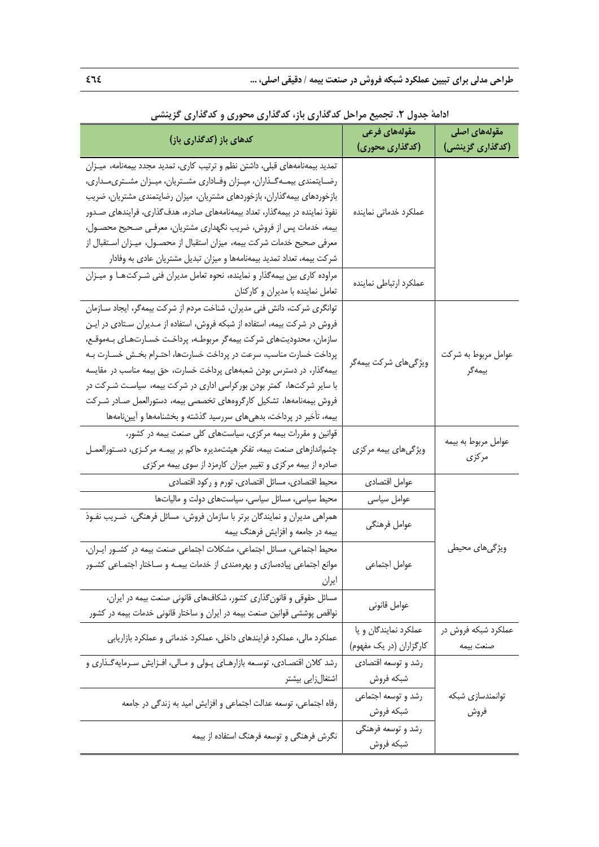| عتري بارد علمشري للمرزي داعتشري الريبسي                                       | بتغوث كالبعثين للرا<br>مقولەهای فرعی | مقولەھای اصلی       |
|-------------------------------------------------------------------------------|--------------------------------------|---------------------|
| کدهای باز (کدگذاری باز)                                                       | (کدگذاری محوری)                      | (کدگذاری گزینشی)    |
| تمدید بیمهنامههای قبلی، داشتن نظم و ترتیب کاری، تمدید مجدد بیمهنامه، میـزان   |                                      |                     |
| رضـايتمندي بيمـهگـذاران، ميــزان وفــاداري مشــتريان، ميــزان مشــتري0مـداري، |                                      |                     |
| بازخوردهای بیمهگذاران، بازخوردهای مشتریان، میزان رضایتمندی مشتریان، ضریب      |                                      |                     |
| نفوذ نماینده در بیمهگذار، تعداد بیمهنامههای صادره، هدفگذاری، فرایندهای صـدور  | عملكرد خدماتي نماينده                |                     |
| بیمه، خدمات پس از فروش، ضریب نگهداری مشتریان، معرفـی صـحیح محصـول،            |                                      |                     |
| معرفی صحیح خدمات شرکت بیمه، میزان استقبال از محصـول، میـزان اسـتقبال از       |                                      |                     |
| شرکت بیمه، تعداد تمدید بیمهنامهها و میزان تبدیل مشتریان عادی به وفادار        |                                      |                     |
| مراوده کاری بین بیمهگذار و نماینده، نحوه تعامل مدیران فنی شـرکت هـا و میـزان  | عملكرد ارتباطي نماينده               |                     |
| تعامل نماینده با مدیران و کارکنان                                             |                                      |                     |
| توانگری شرکت، دانش فنی مدیران، شناخت مردم از شرکت بیمهگر، ایجاد سـازمان       |                                      |                     |
| فروش در شرکت بیمه، استفاده از شبکه فروش، استفاده از مـدیران سـتادی در ایـن    |                                      |                     |
| سازمان، محدودیتهای شرکت بیمهگر مربوطـه، پرداخـت خسـارتهـای بـهموقـع،          |                                      |                     |
| پرداخت خسارت مناسب، سرعت در پرداخت خسارتها، احتـرام بخـش خســارت بــه         | ویژگیهای شرکت بیمهگر                 | عوامل مربوط به شركت |
| بیمهگذار، در دسترس بودن شعبههای پرداخت خسارت، حق بیمه مناسب در مقایسه         |                                      | بيمەگر              |
| با سایر شرکتها، کمتر بودن بورکراسی اداری در شرکت بیمه، سیاسـت شــرکت در       |                                      |                     |
| فروش بیمهنامهها، تشکیل کارگروههای تخصصی بیمه، دستورالعمل صـادر شـرکت          |                                      |                     |
| بیمه، تأخیر در پرداخت، بدهیهای سررسید گذشته و بخشنامهها و أیینiامهها          |                                      |                     |
| قوانین و مقررات بیمه مرکزی، سیاستهای کلی صنعت بیمه در کشور،                   |                                      | عوامل مربوط به بيمه |
| چشم ندازهای صنعت بیمه، تفکر هیئتمدیره حاکم بر بیمـه مرکـزی، دسـتورالعمـل      | ویژگیهای بیمه مرکزی                  | مركزى               |
| صادره از بیمه مرکزی و تغییر میزان کارمزد از سوی بیمه مرکزی                    |                                      |                     |
| محیط اقتصادی، مسائل اقتصادی، تورم و رکود اقتصادی                              | عوامل اقتصادي                        |                     |
| محیط سیاسی، مسائل سیاسی، سیاستهای دولت و مالیاتها                             | عوامل سياسى                          |                     |
| همراهی مدیران و نمایندگان برتر با سازمان فروش، مسائل فرهنگی، ضـریب نفـوذ      | عوامل فرهنگي                         |                     |
| بیمه در جامعه و افزایش فرهنگ بیمه                                             |                                      |                     |
| محیط اجتماعی، مسائل اجتماعی، مشکلات اجتماعی صنعت بیمه در کشـور ایـران،        |                                      | ویژگیهای محیطی      |
| موانع اجتماعی پیادهسازی و بهرهمندی از خدمات بیمـه و سـاختار اجتمـاعی کشـور    | عوامل اجتماعي                        |                     |
| ايران                                                                         |                                      |                     |
| مسائل حقوقی و قانون گذاری کشور، شکافهای قانونی صنعت بیمه در ایران،            |                                      |                     |
| نواقص پوششی قوانین صنعت بیمه در ایران و ساختار قانونی خدمات بیمه در کشور      | عوامل قانوني                         |                     |
| عملکرد مالی، عملکرد فرایندهای داخلی، عملکرد خدماتی و عملکرد بازاریابی         | عملکرد نمایندگان و یا                | عملکرد شبکه فروش در |
|                                                                               | كارگزاران (در يک مفهوم)              | صنعت بيمه           |
| رشد كلان اقتصـادي، توسـعه بازارهـاي پـولي و مـالي، افـزايش سـرمايهگـذاري و    | رشد و توسعه اقتصادي                  |                     |
| اشتغالزايي بيشتر                                                              | شبكه فروش                            |                     |
|                                                                               | رشد و توسعه اجتماعي<br>شبكه فروش     | توانمندسازى شبكه    |
| رفاه اجتماعی، توسعه عدالت اجتماعی و افزایش امید به زندگی در جامعه             |                                      | فروش                |
|                                                                               | رشد و توسعه فرهنگی                   |                     |
| نگرش فرهنگی و توسعه فرهنگ استفاده از بیمه                                     | شبكه فروش                            |                     |

**ادامة جدول .2 تجميع مراحل كدگذاري باز، كدگذاري محوري و كدگذاري گزينشي**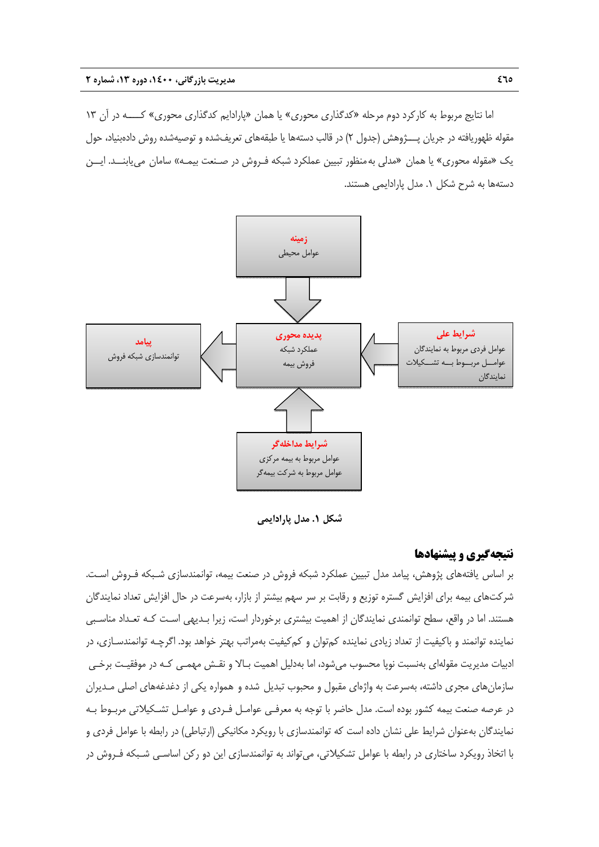اما نتايج مربوط به كاركرد دوم مرحله «كدگذاري محوري» يا همان «پارادايم كدگذاري محوري» كــــه در آن 13 مقوله ظهوريافته در جريان پـــژوهش (جدول 2) در قالب دستهها يا طبقههاي تعريفشده و توصيهشده روش دادهبنياد، حول يك «مقوله محوري» يا همان «مدلي بهمنظور تبيين عملكرد شبكه فـروش در صـنعت بيمـه**»** سامان مىيابنــد. ايــن دستهها به شرح شكل .1 مدل پارادايمي هستند.



**شكل .1 مدل پارادايمي** 

## **نتيجهگيري و پيشنهادها**

بر اساس يافتههاي پژوهش، پيامد مدل تبيين عملكرد شبكه فروش در صنعت بيمه، توانمندسازي شـبكه فـروش اسـت. شركتهاي بيمه براي افزايش گستره توزيع و رقابت بر سر سهم بيشتر از بازار، بهسرعت در حال افزايش تعداد نمايندگان هستند. اما در واقع، سطح توانمندي نمايندگان از اهميت بيشتري برخوردار است، زيرا بـديهي اسـت كـه تعـداد مناسـبي نماينده توانمند و باكيفيت از تعداد زيادي نماينده كمتوان و كمكيفيت بهمراتب بهتر خواهد بود. اگرچـه توانمندسـازي، در ادبيات مديريت مقولهاي بهنسبت نوپا محسوب ميشود، اما بهدليل اهميت بـالا و نقـش مهمـي كـه در موفقيـت برخـي سازمانهاي مجري داشته، بهسرعت به واژهاي مقبول و محبوب تبديل شده و همواره يكي از دغدغههاي اصلي مـديران در عرصه صنعت بيمه كشور بوده است. مدل حاضر با توجه به معرفـي عوامـل فـردي و عوامـل تشـكيلاتي مربـوط بـه نمايندگان بهعنوان شرايط علي نشان داده است كه توانمندسازي با رويكرد مكانيكي (ارتباطي) در رابطه با عوامل فردي و با اتخاذ رويكرد ساختاري در رابطه با عوامل تشكيلاتي، ميتواند به توانمندسازي اين دو ركن اساسـي شـبكه فـروش در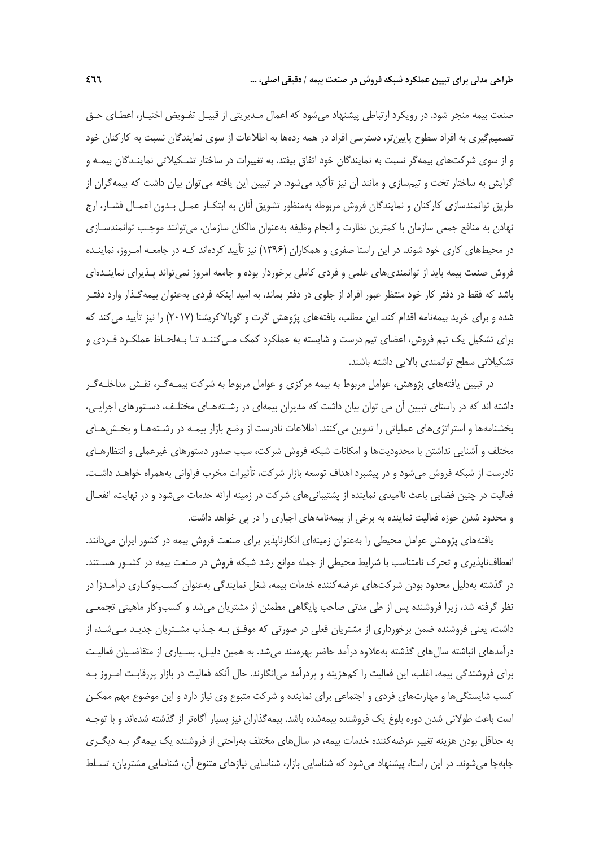صنعت بيمه منجر شود. در رويكرد ارتباطي پيشنهاد ميشود كه اعمال مـديريتي از قبيـل تفـويض اختيـار، اعطـاي حـق تصميمگيري به افراد سطوح پايينتر، دسترسي افراد در همه ردهها به اطلاعات از سوي نمايندگان نسبت به كاركنان خود و از سوي شركتهاي بيمهگر نسبت به نمايندگان خود اتفاق بيفتد. به تغييرات در ساختار تشـكيلاتي نماينـدگان بيمـه و گرايش به ساختار تخت و تيمسازي و مانند آن نيز تأكيد مي شود. در تبيين اين يافته مي توان بيان داشت كه بيمه گران از طريق توانمندسازي كاركنان و نمايندگان فروش مربوطه بهمنظور تشويق آنان به ابتكـار عمـل بـدون اعمـال فشـار، ارج نهادن به منافع جمعي سازمان با كمترين نظارت و انجام وظيفه بهعنوان مالكان سازمان، ميتوانند موجـب توانمندسـازي در محيطهاي كاري خود شوند. در اين راستا صفري و همكاران (1396) نيز تأييد كردهاند كـه در جامعـه امـروز، نماينـده فروش صنعت بيمه بايد از توانمنديهاي علمي و فردي كاملي برخوردار بوده و جامعه امروز نميتواند پـذيراي نماينـدهاي باشد كه فقط در دفتر كار خود منتظر عبور افراد از جلوي در دفتر بماند، به اميد اينكه فردي بهعنوان بيمهگـذار وارد دفتـر شده و براي خريد بيمهنامه اقدام كند. اين مطلب، يافتههاي پژوهش گرت و گوپالاكريشنا (2017) را نيز تأييد ميكند كه براي تشكيل يك تيم فروش، اعضاي تيم درست و شايسته به عملكرد كمك مـيكننـد تـا بـهلحـاظ عملكـرد فـردي و تشكيلاتي سطح توانمندي بالايي داشته باشند.

در تبيين يافتههاي پژوهش، عوامل مربوط به بيمه مركزي و عوامل مربوط به شركت بيمـهگـر، نقـش مداخلـهگـر داشته اند كه در راستاي تببين آن مي توان بيان داشت كه مديران بيمهاي در رشـتههـاي مختلـف، دسـتورهاي اجرايـي، بخشنامهها و استراتژيهاي عملياتي را تدوين ميكنند. اطلاعات نادرست از وضع بازار بيمـه در رشـتههـا و بخـشهـاي مختلف و آشنايي نداشتن با محدوديتها و امكانات شبكه فروش شركت، سبب صدور دستورهاي غيرعملي و انتظارهـاي نادرست از شبكه فروش ميشود و در پيشبرد اهداف توسعه بازار شركت، تأثيرات مخرب فراواني بههمراه خواهـد داشـت. فعاليت در چنين فضايي باعث نااميدي نماينده از پشتيباني هاي شركت در زمينه ارائه خدمات مي شود و در نهايت، انفعـال و محدود شدن حوزه فعاليت نماينده به برخي از بيمهنامههاي اجباري را در پي خواهد داشت.

يافتههاي پژوهش عوامل محيطي را بهعنوان زمينهاي انكارناپذير براي صنعت فروش بيمه در كشور ايران ميدانند. انعطافناپذيري و تحرك نامتناسب با شرايط محيطي از جمله موانع رشد شبكه فروش در صنعت بيمه در كشـور هسـتند. در گذشته بهدليل محدود بودن شركتهاي عرضهكننده خدمات بيمه، شغل نمايندگي بهعنوان كسـبوكـاري درآمـدزا در نظر گرفته شد، زيرا فروشنده پس از طي مدتي صاحب پايگاهي مطمئن از مشتريان ميشد و كسبوكار ماهيتي تجمعـي داشت، يعني فروشنده ضمن برخورداري از مشتريان فعلي در صورتي كه موفـق بـه جـذب مشـتريان جديـد مـيشـد، از درآمدهاي انباشته سالهاي گذشته بهعلاوه درآمد حاضر بهرهمند ميشد. به همين دليـل، بسـياري از متقاضـيان فعاليـت براي فروشندگي بيمه، اغلب، اين فعاليت را كمهزينه و پردرآمد ميانگارند. حال آنكه فعاليت در بازار پررقابـت امـروز بـه كسب شايستگيها و مهارتهاي فردي و اجتماعي براي نماينده و شركت متبوع وي نياز دارد و اين موضوع مهم ممكـن است باعث طولاني شدن دوره بلوغ يك فروشنده بيمهشده باشد. بيمهگذاران نيز بسيار آگاهتر از گذشته شدهاند و با توجـه به حداقل بودن هزينه تغيير عرضهكننده خدمات بيمه، در سالهاي مختلف بهراحتي از فروشنده يك بيمهگر بـه ديگـري جابهجا ميشوند. در اين راستا، پيشنهاد ميشود كه شناسايي بازار، شناسايي نيازهاي متنوع آن، شناسايي مشتريان، تسـلط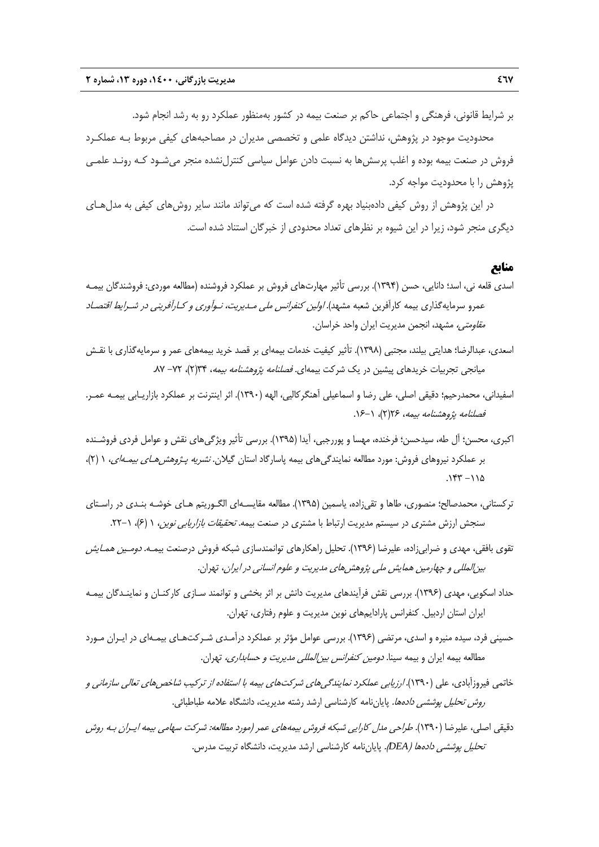بر شرايط قانوني، فرهنگي و اجتماعي حاكم بر صنعت بيمه در كشور بهمنظور عملكرد رو به رشد انجام شود.

محدوديت موجود در پژوهش، نداشتن ديدگاه علمي و تخصصي مديران در مصاحبههاي كيفي مربوط بـه عملكـرد فروش در صنعت بيمه بوده و اغلب پرسشها به نسبت دادن عوامل سياسي كنترلنشده منجر ميشـود كـه رونـد علمـي پژوهش را با محدوديت مواجه كرد.

در اين پژوهش از روش كيفي دادهبنياد بهره گرفته شده است كه ميتواند مانند ساير روشهاي كيفي به مدلهـاي ديگري منجر شود، زيرا در اين شيوه بر نظرهاي تعداد محدودي از خبرگان استناد شده است.

### **منابع**

- اسدي قلعه ني، اسد؛ دانايي، حسن (1394). بررسي تأثير مهارتهاي فروش بر عملكرد فروشنده (مطالعه موردي: فروشندگان بيمـه عمرو سرمايهگذاري بيمه كارآفرين شعبه مشهد). *اولين كنفرانس ملي مـديريت، نـوآوري و كـارآفريني در شـرايط اقتصـاد مقاومتي،* مشهد، انجمن مديريت ايران واحد خراسان.
- اسعدي، عبدالرضا؛ هدايتي بيلند، مجتبي (1398). تأثير كيفيت خدمات بيمهاي بر قصد خريد بيمههاي عمر و سرمايهگذاري با نقـش ميانجي تجربيات خريدهاي پيشين در يک شركت بيمهاي. *فصلنامه پژوهشنامه بيمه*، ٧٣(٢)، ٧٢- ٨٧.
- اسفيداني، محمدرحيم؛ دقيقي اصلي، علي رضا و اسماعيلي آهنگركاليي، الهه (1390). اثر اينترنت بر عملكرد بازاريـابي بيمـه عمـر. فصلنامه پژوهشنامه بيمه، 26(2)، .16-1
- اكبري، محسن؛ آل طه، سيدحسن؛ فرخنده، مهسا و پوررجبي، آيدا (1395). بررسي تأثير ويژگيهاي نقش و عوامل فردي فروشـنده بر عملكرد نيروهاي فروش: مورد مطالعه نمايندگي هاي بيمه پاسارگاد استان گيلان. *نشريه پـژوهش هـاي بيمـهاي*، ١ (٢)،  $.157 - 110$
- تركستاني، محمدصالح؛ منصوري، طاها و تقيزاده، ياسمين (1395). مطالعه مقايسـهاي الگـوريتم هـاي خوشـه بنـدي در راسـتاي سنجش ارزش مشتري در سيستم مديريت ارتباط با مشتري در صنعت بيمه. *تحقيقات بازاريابي نوين*، ١ (۶)، ١-٢٢.
- تقوي بافقي، مهدي و ضرابيزاده، عليرضا (1396). تحليل راهكارهاي توانمندسازي شبكه فروش درصنعت بيمـه. دومـين همـايش بينالمللي <sup>و</sup> چهارمين همايش ملي پژوهشهاي مديريت <sup>و</sup> علوم انساني در ايران، تهران.
- حداد اسكويي، مهدي (1396). بررسي نقش فرآيندهاي مديريت دانش بر اثر بخشي و توانمند سـازي كاركنـان و نماينـدگان بيمـه ايران استان اردبيل. كنفرانس پارادايمهاي نوين مديريت و علوم رفتاري، تهران.
- حسيني فرد، سيده منيره و اسدي، مرتضي (1396). بررسي عوامل مؤثر بر عملكرد درآمـدي شـركتهـاي بيمـهاي در ايـران مـورد مطالعه بيمه ايران و بيمه سينا. *دومين كنفرانس بين المللي مديريت و حسابداري،* تهران.
- خاتمي فيروزآبادي، علي (1390). ارزيابي عملكرد نمايندگيهاي شركتهاي بيمه با استفاده از تركيب شاخصهاي تعالي سازماني <sup>و</sup> ر*وش تحليل پوششي دادهها.* پاياننامه كارشناسي ارشد رشته مديريت، دانشگاه علامه طباطبائي.
- دقيقي اصلي، عليرضا (1390). طراحي مدل كارايي شبكه فروش بيمههاي عمر (مورد مطالعه: شركت سهامي بيمه ايـران بـه روش تحليل پوششي دادهها (*DEA*(. پاياننامه كارشناسي ارشد مديريت، دانشگاه تربيت مدرس.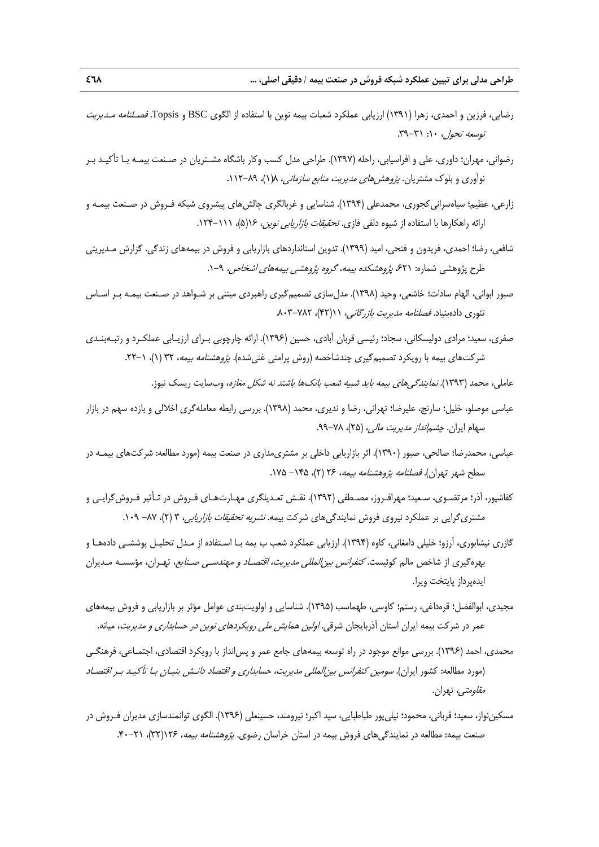- رضايي، فرزين و احمدي، زهرا (1391) ارزيابي عملكرد شعبات بيمه نوين با استفاده از الگوي BSC و Topsis. فصـلنامه مـديريت  $T^2$ توسعه تحول، ١٠: ٣١-٣٩.
- رضواني، مهران؛ داوري، علي و افراسيابي، راحله (1397). طراحي مدل كسب وكار باشگاه مشـتريان در صـنعت بيمـه بـا تأكيـد بـر نوآوري و بلوک مشتريان. *پژوهشهاي مديريت منابع سازماني*، ١(١)، ٨٩-١١٢.
- زارعي، عظيم؛ سياهسراني كجوري، محمدعلي (١٣٩۴). شناسايي و غربالگري چالش هاي پيشروي شبكه فـروش در صـنعت بيمـه و ارائه راهكارها با استفاده از شيوه دلفي فازي. *تحقيقات بازاريابي نوين، ۱۶*(۵)، *۱۱۱–*۱۲۴.
- شافعي، رضا؛ احمدي، فريدون و فتحي، اميد (1399). تدوين استانداردهاي بازاريابي و فروش در بيمههاي زندگي. گزارش مـديريتي طرح پژوهشي شماره: ۶۲۱، *پژوهشكده بيمه، گروه پژوهشي بيمههاي اشخاص،* ۹−۱.
- صبور ابواني، الهام سادات؛ خاشعي، وحيد (1398). مدلسازي تصميمگيري راهبردي مبتني بر شـواهد در صـنعت بيمـه بـر اسـاس تئوري دادهبنياد. *فصلنامه مديريت بازرگاني، ١١(*۴۲)، ٨٠٢-٨٠٣.
- صفري، سعيد؛ مرادي دوليسكاني، سجاد؛ رئيسي قربان آبادي، حسين (1396). ارائه چارچوبي بـراي ارزيـابي عملكـرد و رتبـهبنـدي شركتهاي بيمه با رويكرد تصميمگيري چندشاخصه (روش پرامتي غني شده). *پژوهشنامه بيمه*، ٣٢ (١)، ١-٢٢.
	- عاملي، محمد (۱۳۹۳). *نمايندگ<sub>ي</sub>هاي بيمه بايد شبيه شعب بانکها باشند نه شکل مغازه* وبسايت ريسک نيوز.
- عباسي موصلو، خليل؛ سارنج، عليرضا؛ تهراني، رضا و نديري، محمد (1398). بررسي رابطه معاملهگري اخلالي و بازده سهم در بازار سهام ايران. *چشم انداز مديريت مالي، (*٢۵)، ٧٨-٩٩.
- عباسي، محمدرضا؛ صالحي، صبور (1390). اثر بازاريابي داخلي بر مشتريمداري در صنعت بيمه (مورد مطالعه: شركتهاي بيمـه در سطح شهر تهران). *فصلنامه پژوهشنامه ب*یمه، ۲۶ (۲)، ۱۲۵ – ۱۷۵.
- كفاشپور، آذر؛ مرتضـوي، سـعيد؛ مهرافـروز، مصـطفي (1392). نقـش تعـديلگري مهـارتهـاي فـروش در تـأثير فـروشگرايـي و مشتري گرايي بر عملكرد نيروي فروش نمايندگيهاي شركت بيمه. *نشريه تحقيقات بازاريابي*، ۳ (۲)، ۸۷– ۰۹۹.
- گازري نيشابوري، آرزو؛ خليلي دامغاني، كاوه (1394). ارزيابي عملكرد شعب ب يمه بـا اسـتفاده از مـدل تحليـل پوششـي دادههـا و بهرهگيري از شاخص مالم كوئيست. *كنفرانس بين المللي مديريت، اقتصـاد و مهندسـي صـنايع*، تهـران، مؤسسـه مـديران ايدهپرداز پايتخت ويرا.
- مجيدي، ابوالفضل؛ قرهداغي، رستم؛ كاوسي، طهماسب (1395). شناسايي و اولويتبندي عوامل مؤثر بر بازاريابي و فروش بيمههاي عمر در شركت بيمه ايران استان آذربايجان شرقي. *اولين همايش ملي رويكردهاي نوين در حسابداري و مديريت*، ميانه.
- محمدي، احمد (1396). بررسي موانع موجود در راه توسعه بيمههاي جامع عمر و پسانداز با رويكرد اقتصادي، اجتمـاعي، فرهنگـي (مورد مطالعه: كشور ايران). سومين كنفرانس بينالمللي مديريت، حسابداري <sup>و</sup> اقتصاد دانـش بنيـان بـا تأكيـد بـر اقتصـاد م*قاومتي،* تهران.
- مسكيننواز، سعيد؛ قرباني، محمود؛ نيليپور طباطبايي، سيد اكبر؛ نيرومند، حسينعلي (1396). الگوي توانمندسازي مديران فـروش در صنعت بيمه: مطالعه در نمايندگي هاي فروش بيمه در استان خراسان رضوي. *پژوهشنامه بيمه، ۱۲۶*(۳۲)، ۲۱-۴۰.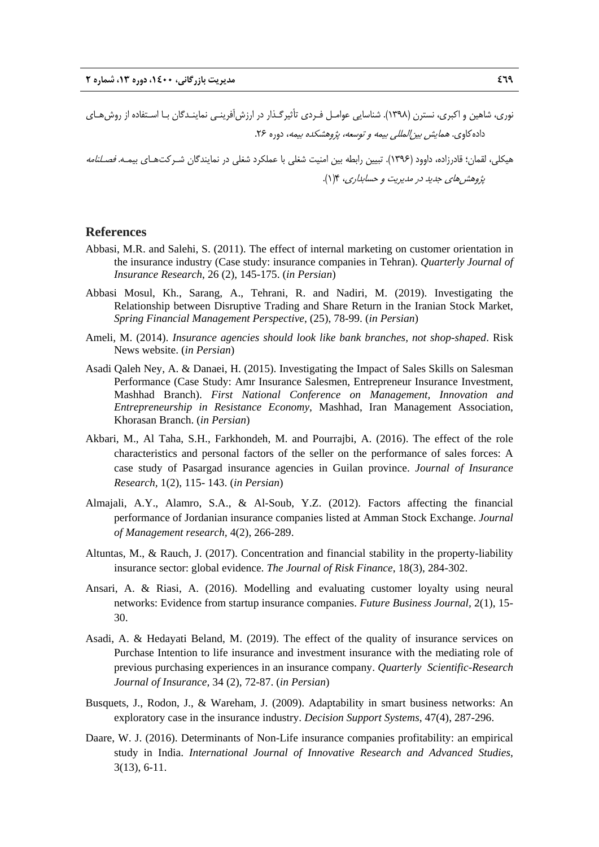نوري، شاهين و اكبري، نسترن (1398). شناسايي عوامـل فـردي تأثيرگـذار در ارزشآفرينـي نماينـدگان بـا اسـتفاده از روشهـاي داده كاوي. *همايش بين إلمللي بيمه و توسعه، پژوهشكده بيمه*، دوره ۲۶. هيكلي، لقمان؛ قادرزاده، داوود (1396). تبيين رابطه بين امنيت شغلي با عملكرد شغلي در نمايندگان شـركتهـاي بيمـه. فصـلنامه پژوهشهاي جديد در مديريت <sup>و</sup> حسابداري، 4(1).

#### **References**

- Abbasi, M.R. and Salehi, S. (2011). The effect of internal marketing on customer orientation in the insurance industry (Case study: insurance companies in Tehran). *Quarterly Journal of Insurance Research*, 26 (2), 145-175. (*in Persian*)
- Abbasi Mosul, Kh., Sarang, A., Tehrani, R. and Nadiri, M. (2019). Investigating the Relationship between Disruptive Trading and Share Return in the Iranian Stock Market, *Spring Financial Management Perspective*, (25), 78-99. (*in Persian*)
- Ameli, M. (2014). *Insurance agencies should look like bank branches, not shop-shaped*. Risk News website. (*in Persian*)
- Asadi Qaleh Ney, A. & Danaei, H. (2015). Investigating the Impact of Sales Skills on Salesman Performance (Case Study: Amr Insurance Salesmen, Entrepreneur Insurance Investment, Mashhad Branch). *First National Conference on Management, Innovation and Entrepreneurship in Resistance Economy*, Mashhad, Iran Management Association, Khorasan Branch. (*in Persian*)
- Akbari, M., Al Taha, S.H., Farkhondeh, M. and Pourrajbi, A. (2016). The effect of the role characteristics and personal factors of the seller on the performance of sales forces: A case study of Pasargad insurance agencies in Guilan province. *Journal of Insurance Research,* 1(2), 115- 143. (*in Persian*)
- Almajali, A.Y., Alamro, S.A., & Al-Soub, Y.Z. (2012). Factors affecting the financial performance of Jordanian insurance companies listed at Amman Stock Exchange. *Journal of Management research,* 4(2), 266-289.
- Altuntas, M., & Rauch, J. (2017). Concentration and financial stability in the property-liability insurance sector: global evidence. *The Journal of Risk Finance*, 18(3), 284-302.
- Ansari, A. & Riasi, A. (2016). Modelling and evaluating customer loyalty using neural networks: Evidence from startup insurance companies. *Future Business Journal,* 2(1), 15- 30.
- Asadi, A. & Hedayati Beland, M. (2019). The effect of the quality of insurance services on Purchase Intention to life insurance and investment insurance with the mediating role of previous purchasing experiences in an insurance company. *Quarterly Scientific-Research Journal of Insurance,* 34 (2), 72-87. (*in Persian*)
- Busquets, J., Rodon, J., & Wareham, J. (2009). Adaptability in smart business networks: An exploratory case in the insurance industry. *Decision Support Systems*, 47(4), 287-296.
- Daare, W. J. (2016). Determinants of Non-Life insurance companies profitability: an empirical study in India. *International Journal of Innovative Research and Advanced Studies*, 3(13), 6-11.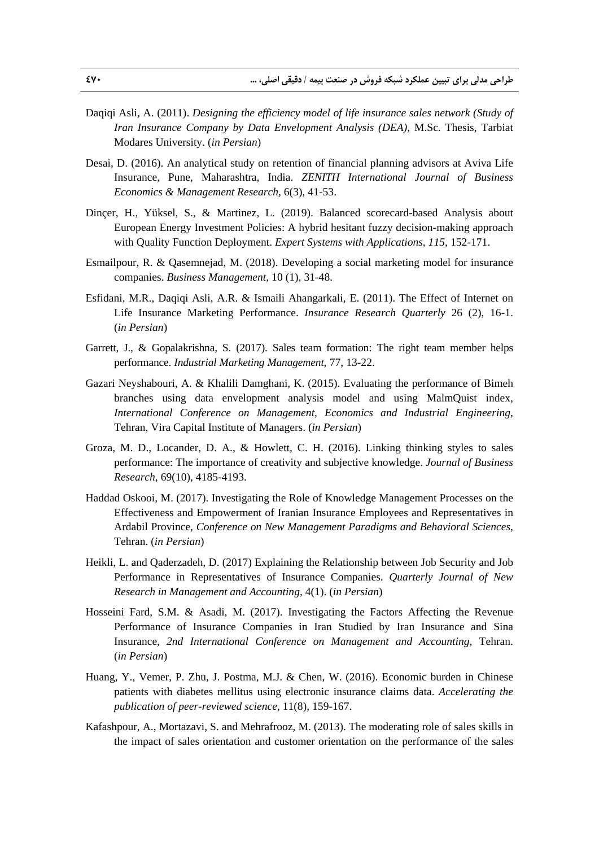- Daqiqi Asli, A. (2011). *Designing the efficiency model of life insurance sales network (Study of Iran Insurance Company by Data Envelopment Analysis (DEA),* M.Sc. Thesis, Tarbiat Modares University. (*in Persian*)
- Desai, D. (2016). An analytical study on retention of financial planning advisors at Aviva Life Insurance, Pune, Maharashtra, India. *ZENITH International Journal of Business Economics & Management Research,* 6(3), 41-53.
- Dinçer, H., Yüksel, S., & Martinez, L. (2019). Balanced scorecard-based Analysis about European Energy Investment Policies: A hybrid hesitant fuzzy decision-making approach with Quality Function Deployment. *Expert Systems with Applications*, *115*, 152-171.
- Esmailpour, R. & Qasemnejad, M. (2018). Developing a social marketing model for insurance companies. *Business Management*, 10 (1), 31-48.
- Esfidani, M.R., Daqiqi Asli, A.R. & Ismaili Ahangarkali, E. (2011). The Effect of Internet on Life Insurance Marketing Performance. *Insurance Research Quarterly* 26 (2), 16-1. (*in Persian*)
- Garrett, J., & Gopalakrishna, S. (2017). Sales team formation: The right team member helps performance. *Industrial Marketing Management*, 77, 13-22.
- Gazari Neyshabouri, A. & Khalili Damghani, K. (2015). Evaluating the performance of Bimeh branches using data envelopment analysis model and using MalmQuist index, *International Conference on Management, Economics and Industrial Engineering*, Tehran, Vira Capital Institute of Managers. (*in Persian*)
- Groza, M. D., Locander, D. A., & Howlett, C. H. (2016). Linking thinking styles to sales performance: The importance of creativity and subjective knowledge. *Journal of Business Research*, 69(10), 4185-4193.
- Haddad Oskooi, M. (2017). Investigating the Role of Knowledge Management Processes on the Effectiveness and Empowerment of Iranian Insurance Employees and Representatives in Ardabil Province, *Conference on New Management Paradigms and Behavioral Sciences*, Tehran. (*in Persian*)
- Heikli, L. and Qaderzadeh, D. (2017) Explaining the Relationship between Job Security and Job Performance in Representatives of Insurance Companies. *Quarterly Journal of New Research in Management and Accounting*, 4(1). (*in Persian*)
- Hosseini Fard, S.M. & Asadi, M. (2017). Investigating the Factors Affecting the Revenue Performance of Insurance Companies in Iran Studied by Iran Insurance and Sina Insurance, *2nd International Conference on Management and Accounting*, Tehran. (*in Persian*)
- Huang, Y., Vemer, P. Zhu, J. Postma, M.J. & Chen, W. (2016). Economic burden in Chinese patients with diabetes mellitus using electronic insurance claims data. *Accelerating the publication of peer-reviewed science,* 11(8), 159-167.
- Kafashpour, A., Mortazavi, S. and Mehrafrooz, M. (2013). The moderating role of sales skills in the impact of sales orientation and customer orientation on the performance of the sales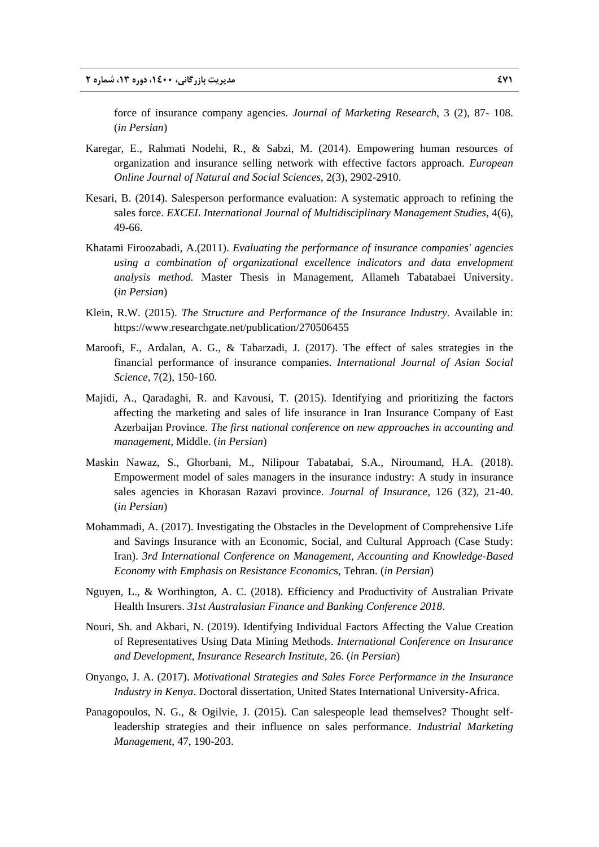force of insurance company agencies. *Journal of Marketing Research*, 3 (2), 87- 108. (*in Persian*)

- Karegar, E., Rahmati Nodehi, R., & Sabzi, M. (2014). Empowering human resources of organization and insurance selling network with effective factors approach. *European Online Journal of Natural and Social Sciences,* 2(3), 2902-2910.
- Kesari, B. (2014). Salesperson performance evaluation: A systematic approach to refining the sales force. *EXCEL International Journal of Multidisciplinary Management Studies*, 4(6), 49-66.
- Khatami Firoozabadi, A.(2011). *Evaluating the performance of insurance companies' agencies using a combination of organizational excellence indicators and data envelopment analysis method.* Master Thesis in Management, Allameh Tabatabaei University. (*in Persian*)
- Klein, R.W. (2015). *The Structure and Performance of the Insurance Industry*. Available in: https://www.researchgate.net/publication/270506455
- Maroofi, F., Ardalan, A. G., & Tabarzadi, J. (2017). The effect of sales strategies in the financial performance of insurance companies. *International Journal of Asian Social Science,* 7(2), 150-160.
- Majidi, A., Qaradaghi, R. and Kavousi, T. (2015). Identifying and prioritizing the factors affecting the marketing and sales of life insurance in Iran Insurance Company of East Azerbaijan Province. *The first national conference on new approaches in accounting and management*, Middle. (*in Persian*)
- Maskin Nawaz, S., Ghorbani, M., Nilipour Tabatabai, S.A., Niroumand, H.A. (2018). Empowerment model of sales managers in the insurance industry: A study in insurance sales agencies in Khorasan Razavi province. *Journal of Insurance*, 126 (32), 21-40. (*in Persian*)
- Mohammadi, A. (2017). Investigating the Obstacles in the Development of Comprehensive Life and Savings Insurance with an Economic, Social, and Cultural Approach (Case Study: Iran). *3rd International Conference on Management, Accounting and Knowledge-Based Economy with Emphasis on Resistance Economic*s, Tehran. (*in Persian*)
- Nguyen, L., & Worthington, A. C. (2018). Efficiency and Productivity of Australian Private Health Insurers. *31st Australasian Finance and Banking Conference 2018*.
- Nouri, Sh. and Akbari, N. (2019). Identifying Individual Factors Affecting the Value Creation of Representatives Using Data Mining Methods. *International Conference on Insurance and Development, Insurance Research Institute*, 26. (*in Persian*)
- Onyango, J. A. (2017). *Motivational Strategies and Sales Force Performance in the Insurance Industry in Kenya*. Doctoral dissertation, United States International University-Africa.
- Panagopoulos, N. G., & Ogilvie, J. (2015). Can salespeople lead themselves? Thought selfleadership strategies and their influence on sales performance. *Industrial Marketing Management,* 47, 190-203.